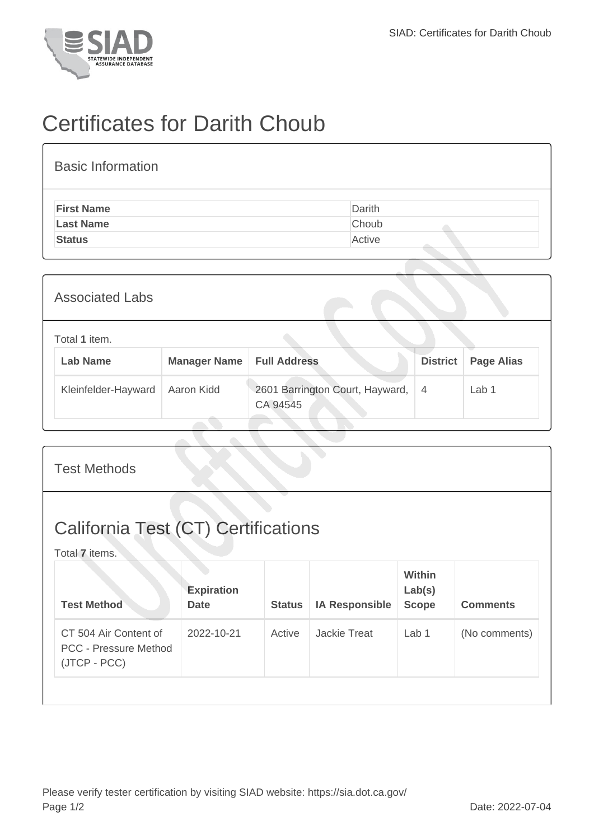

## Certificates for Darith Choub

| <b>Basic Information</b> |        |
|--------------------------|--------|
| <b>First Name</b>        | Darith |
| <b>Last Name</b>         | Choub  |
| <b>Status</b>            | Active |

| <b>Associated Labs</b>           |                     |                                             |                 |                   |  |  |
|----------------------------------|---------------------|---------------------------------------------|-----------------|-------------------|--|--|
| Total 1 item.<br><b>Lab Name</b> | <b>Manager Name</b> | <b>Full Address</b>                         | <b>District</b> | <b>Page Alias</b> |  |  |
| Kleinfelder-Hayward              | Aaron Kidd          | 2601 Barrington Court, Hayward,<br>CA 94545 | $\overline{4}$  | Lab <sub>1</sub>  |  |  |

| <b>Test Methods</b>                                                   |                                  |               |                       |                                         |                 |  |
|-----------------------------------------------------------------------|----------------------------------|---------------|-----------------------|-----------------------------------------|-----------------|--|
| <b>California Test (CT) Certifications</b><br>Total 7 items.          |                                  |               |                       |                                         |                 |  |
| <b>Test Method</b>                                                    | <b>Expiration</b><br><b>Date</b> | <b>Status</b> | <b>IA Responsible</b> | <b>Within</b><br>Lab(s)<br><b>Scope</b> | <b>Comments</b> |  |
| CT 504 Air Content of<br><b>PCC</b> - Pressure Method<br>(JTCP - PCC) | 2022-10-21                       | Active        | <b>Jackie Treat</b>   | Lab 1                                   | (No comments)   |  |
|                                                                       |                                  |               |                       |                                         |                 |  |